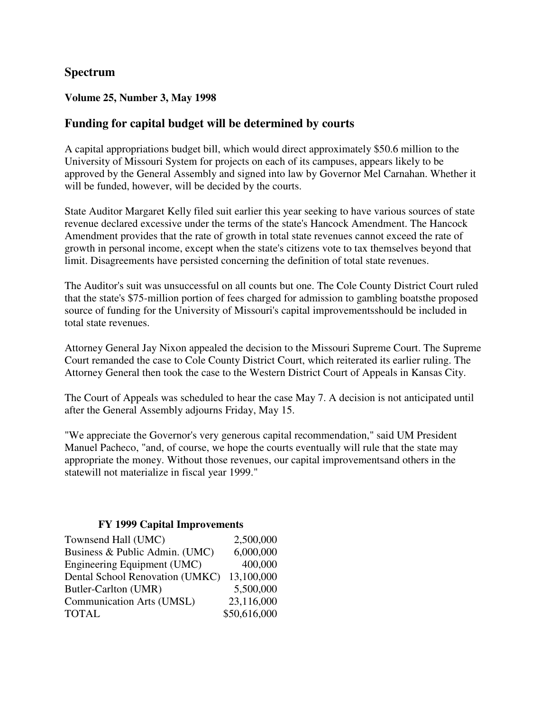# **Spectrum**

### **Volume 25, Number 3, May 1998**

## **Funding for capital budget will be determined by courts**

A capital appropriations budget bill, which would direct approximately \$50.6 million to the University of Missouri System for projects on each of its campuses, appears likely to be approved by the General Assembly and signed into law by Governor Mel Carnahan. Whether it will be funded, however, will be decided by the courts.

State Auditor Margaret Kelly filed suit earlier this year seeking to have various sources of state revenue declared excessive under the terms of the state's Hancock Amendment. The Hancock Amendment provides that the rate of growth in total state revenues cannot exceed the rate of growth in personal income, except when the state's citizens vote to tax themselves beyond that limit. Disagreements have persisted concerning the definition of total state revenues.

The Auditor's suit was unsuccessful on all counts but one. The Cole County District Court ruled that the state's \$75-million portion of fees charged for admission to gambling boatsthe proposed source of funding for the University of Missouri's capital improvementsshould be included in total state revenues.

Attorney General Jay Nixon appealed the decision to the Missouri Supreme Court. The Supreme Court remanded the case to Cole County District Court, which reiterated its earlier ruling. The Attorney General then took the case to the Western District Court of Appeals in Kansas City.

The Court of Appeals was scheduled to hear the case May 7. A decision is not anticipated until after the General Assembly adjourns Friday, May 15.

"We appreciate the Governor's very generous capital recommendation," said UM President Manuel Pacheco, "and, of course, we hope the courts eventually will rule that the state may appropriate the money. Without those revenues, our capital improvementsand others in the statewill not materialize in fiscal year 1999."

### **FY 1999 Capital Improvements**

| Townsend Hall (UMC)              | 2,500,000    |
|----------------------------------|--------------|
| Business & Public Admin. (UMC)   | 6,000,000    |
| Engineering Equipment (UMC)      | 400,000      |
| Dental School Renovation (UMKC)  | 13,100,000   |
| Butler-Carlton (UMR)             | 5,500,000    |
| <b>Communication Arts (UMSL)</b> | 23,116,000   |
| <b>TOTAL</b>                     | \$50,616,000 |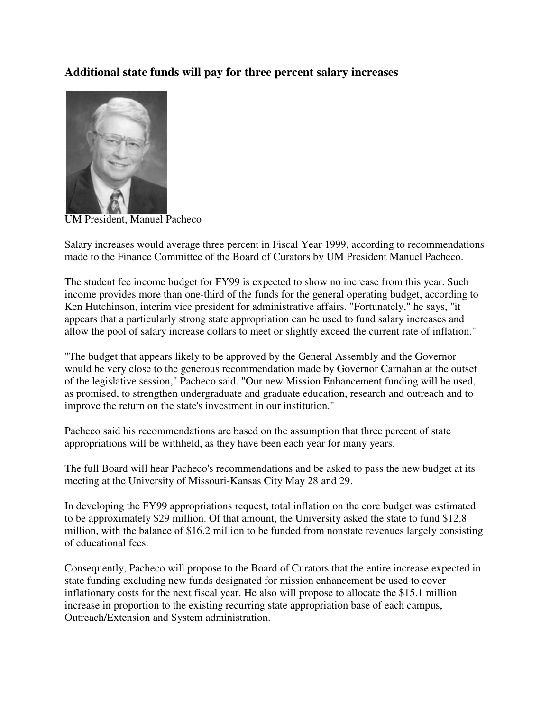# **Additional state funds will pay for three percent salary increases**



UM President, Manuel Pacheco

Salary increases would average three percent in Fiscal Year 1999, according to recommendations made to the Finance Committee of the Board of Curators by UM President Manuel Pacheco.

The student fee income budget for FY99 is expected to show no increase from this year. Such income provides more than one-third of the funds for the general operating budget, according to Ken Hutchinson, interim vice president for administrative affairs. "Fortunately," he says, "it appears that a particularly strong state appropriation can be used to fund salary increases and allow the pool of salary increase dollars to meet or slightly exceed the current rate of inflation."

"The budget that appears likely to be approved by the General Assembly and the Governor would be very close to the generous recommendation made by Governor Carnahan at the outset of the legislative session," Pacheco said. "Our new Mission Enhancement funding will be used, as promised, to strengthen undergraduate and graduate education, research and outreach and to improve the return on the state's investment in our institution."

Pacheco said his recommendations are based on the assumption that three percent of state appropriations will be withheld, as they have been each year for many years.

The full Board will hear Pacheco's recommendations and be asked to pass the new budget at its meeting at the University of Missouri-Kansas City May 28 and 29.

In developing the FY99 appropriations request, total inflation on the core budget was estimated to be approximately \$29 million. Of that amount, the University asked the state to fund \$12.8 million, with the balance of \$16.2 million to be funded from nonstate revenues largely consisting of educational fees.

Consequently, Pacheco will propose to the Board of Curators that the entire increase expected in state funding excluding new funds designated for mission enhancement be used to cover inflationary costs for the next fiscal year. He also will propose to allocate the \$15.1 million increase in proportion to the existing recurring state appropriation base of each campus, Outreach/Extension and System administration.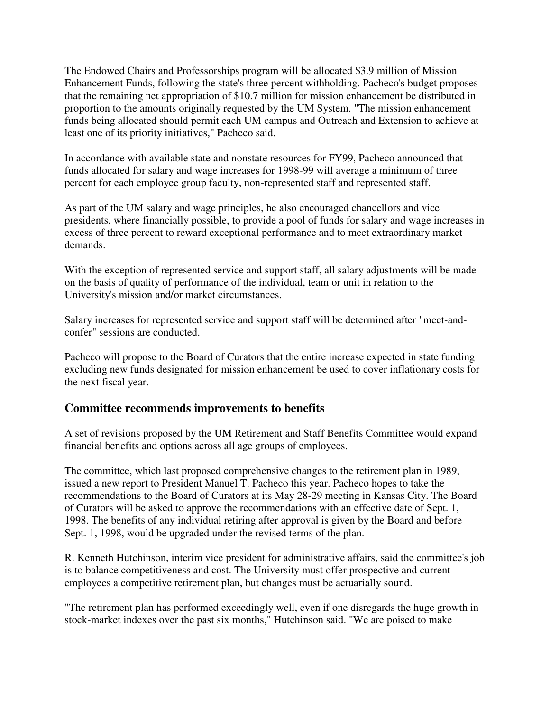The Endowed Chairs and Professorships program will be allocated \$3.9 million of Mission Enhancement Funds, following the state's three percent withholding. Pacheco's budget proposes that the remaining net appropriation of \$10.7 million for mission enhancement be distributed in proportion to the amounts originally requested by the UM System. "The mission enhancement funds being allocated should permit each UM campus and Outreach and Extension to achieve at least one of its priority initiatives," Pacheco said.

In accordance with available state and nonstate resources for FY99, Pacheco announced that funds allocated for salary and wage increases for 1998-99 will average a minimum of three percent for each employee group faculty, non-represented staff and represented staff.

As part of the UM salary and wage principles, he also encouraged chancellors and vice presidents, where financially possible, to provide a pool of funds for salary and wage increases in excess of three percent to reward exceptional performance and to meet extraordinary market demands.

With the exception of represented service and support staff, all salary adjustments will be made on the basis of quality of performance of the individual, team or unit in relation to the University's mission and/or market circumstances.

Salary increases for represented service and support staff will be determined after "meet-andconfer" sessions are conducted.

Pacheco will propose to the Board of Curators that the entire increase expected in state funding excluding new funds designated for mission enhancement be used to cover inflationary costs for the next fiscal year.

# **Committee recommends improvements to benefits**

A set of revisions proposed by the UM Retirement and Staff Benefits Committee would expand financial benefits and options across all age groups of employees.

The committee, which last proposed comprehensive changes to the retirement plan in 1989, issued a new report to President Manuel T. Pacheco this year. Pacheco hopes to take the recommendations to the Board of Curators at its May 28-29 meeting in Kansas City. The Board of Curators will be asked to approve the recommendations with an effective date of Sept. 1, 1998. The benefits of any individual retiring after approval is given by the Board and before Sept. 1, 1998, would be upgraded under the revised terms of the plan.

R. Kenneth Hutchinson, interim vice president for administrative affairs, said the committee's job is to balance competitiveness and cost. The University must offer prospective and current employees a competitive retirement plan, but changes must be actuarially sound.

"The retirement plan has performed exceedingly well, even if one disregards the huge growth in stock-market indexes over the past six months," Hutchinson said. "We are poised to make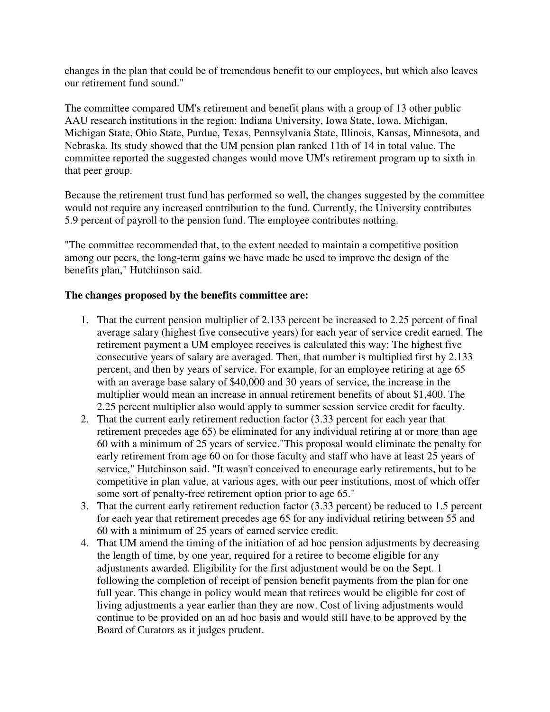changes in the plan that could be of tremendous benefit to our employees, but which also leaves our retirement fund sound."

The committee compared UM's retirement and benefit plans with a group of 13 other public AAU research institutions in the region: Indiana University, Iowa State, Iowa, Michigan, Michigan State, Ohio State, Purdue, Texas, Pennsylvania State, Illinois, Kansas, Minnesota, and Nebraska. Its study showed that the UM pension plan ranked 11th of 14 in total value. The committee reported the suggested changes would move UM's retirement program up to sixth in that peer group.

Because the retirement trust fund has performed so well, the changes suggested by the committee would not require any increased contribution to the fund. Currently, the University contributes 5.9 percent of payroll to the pension fund. The employee contributes nothing.

"The committee recommended that, to the extent needed to maintain a competitive position among our peers, the long-term gains we have made be used to improve the design of the benefits plan," Hutchinson said.

### **The changes proposed by the benefits committee are:**

- 1. That the current pension multiplier of 2.133 percent be increased to 2.25 percent of final average salary (highest five consecutive years) for each year of service credit earned. The retirement payment a UM employee receives is calculated this way: The highest five consecutive years of salary are averaged. Then, that number is multiplied first by 2.133 percent, and then by years of service. For example, for an employee retiring at age 65 with an average base salary of \$40,000 and 30 years of service, the increase in the multiplier would mean an increase in annual retirement benefits of about \$1,400. The 2.25 percent multiplier also would apply to summer session service credit for faculty.
- 2. That the current early retirement reduction factor (3.33 percent for each year that retirement precedes age 65) be eliminated for any individual retiring at or more than age 60 with a minimum of 25 years of service."This proposal would eliminate the penalty for early retirement from age 60 on for those faculty and staff who have at least 25 years of service," Hutchinson said. "It wasn't conceived to encourage early retirements, but to be competitive in plan value, at various ages, with our peer institutions, most of which offer some sort of penalty-free retirement option prior to age 65."
- 3. That the current early retirement reduction factor (3.33 percent) be reduced to 1.5 percent for each year that retirement precedes age 65 for any individual retiring between 55 and 60 with a minimum of 25 years of earned service credit.
- 4. That UM amend the timing of the initiation of ad hoc pension adjustments by decreasing the length of time, by one year, required for a retiree to become eligible for any adjustments awarded. Eligibility for the first adjustment would be on the Sept. 1 following the completion of receipt of pension benefit payments from the plan for one full year. This change in policy would mean that retirees would be eligible for cost of living adjustments a year earlier than they are now. Cost of living adjustments would continue to be provided on an ad hoc basis and would still have to be approved by the Board of Curators as it judges prudent.